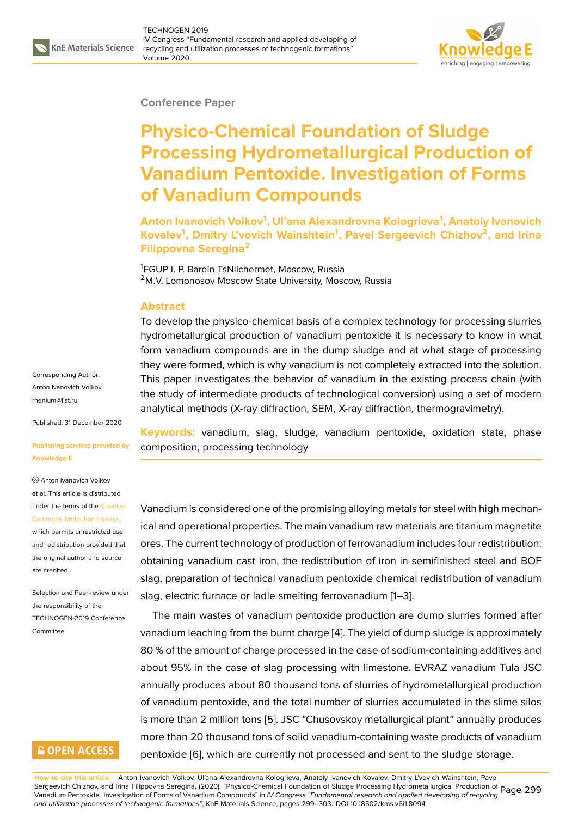

#### **Conference Paper**

# **Physico-Chemical Foundation of Sludge Processing Hydrometallurgical Production of Vanadium Pentoxide. Investigation of Forms of Vanadium Compounds**

**Anton Ivanovich Volkov<sup>1</sup> , Ul'ana Alexandrovna Kologrieva<sup>1</sup> , Anatoly Ivanovich Kovalev<sup>1</sup> , Dmitry L'vovich Wainshtein<sup>1</sup> , Pavel Sergeevich Chizhov<sup>2</sup> , and Irina Filippovna Seregina<sup>2</sup>**

<sup>1</sup>FGUP I. P. Bardin TsNIIchermet, Moscow, Russia <sup>2</sup>M.V. Lomonosov Moscow State University, Moscow, Russia

#### **Abstract**

To develop the physico-chemical basis of a complex technology for processing slurries hydrometallurgical production of vanadium pentoxide it is necessary to know in what form vanadium compounds are in the dump sludge and at what stage of processing they were formed, which is why vanadium is not completely extracted into the solution. This paper investigates the behavior of vanadium in the existing process chain (with the study of intermediate products of technological conversion) using a set of modern analytical methods (X-ray diffraction, SEM, X-ray diffraction, thermogravimetry).

**Keywords:** vanadium, slag, sludge, vanadium pentoxide, oxidation state, phase composition, processing technology

Vanadium is considered one of the promising alloying metals for steel with high mechanical and operational properties. The main vanadium raw materials are titanium magnetite ores. The current technology of production of ferrovanadium includes four redistribution: obtaining vanadium cast iron, the redistribution of iron in semifinished steel and BOF slag, preparation of technical vanadium pentoxide chemical redistribution of vanadium slag, electric furnace or ladle smelting ferrovanadium [1–3].

The main wastes of vanadium pentoxide production are dump slurries formed after vanadium leaching from the burnt charge [4]. The yield of dump sludge is approximately 80 % of the amount of charge processed in the case of [s](#page-3-0)o[di](#page-3-1)um-containing additives and about 95% in the case of slag processing with limestone. EVRAZ vanadium Tula JSC annually produces about 80 thousand to[ns](#page-3-2) of slurries of hydrometallurgical production of vanadium pentoxide, and the total number of slurries accumulated in the slime silos is more than 2 million tons [5]. JSC "Chusovskoy metallurgical plant" annually produces more than 20 thousand tons of solid vanadium-containing waste products of vanadium pentoxide [6], which are currently not processed and sent to the sludge storage.

Corresponding Author: Anton Ivanovich Volkov rhenium@list.ru

Published: 31 December 2020

#### **[Publishing serv](mailto:rhenium@list.ru)ices provided by Knowledge E**

Anton Ivanovich Volkov

et al. This article is distributed under the terms of the Creative Commons Attribution License, which permits unrestricted use

and redistribution provided that the original author and [source](https://creativecommons.org/licenses/by/4.0/) [are credited.](https://creativecommons.org/licenses/by/4.0/)

Selection and Peer-review under the responsibility of the TECHNOGEN-2019 Conference Committee.

### **GOPEN ACCESS**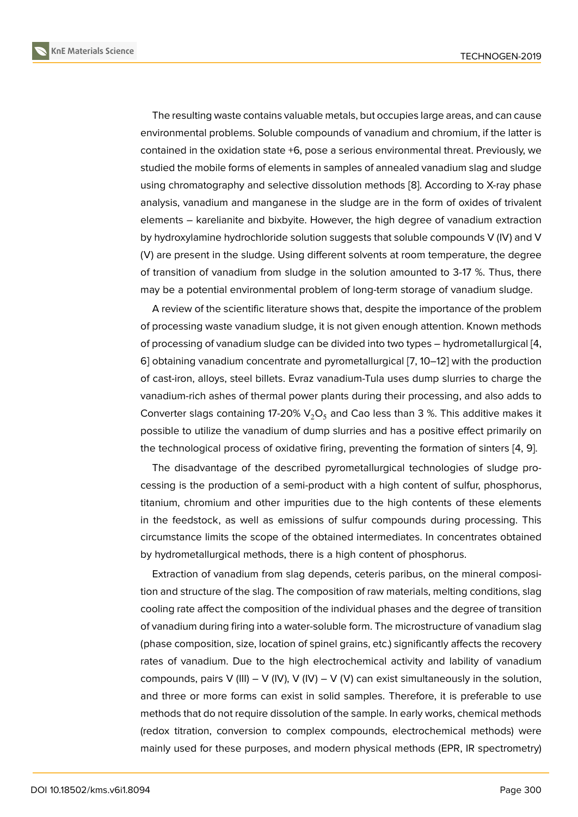The resulting waste contains valuable metals, but occupies large areas, and can cause environmental problems. Soluble compounds of vanadium and chromium, if the latter is contained in the oxidation state +6, pose a serious environmental threat. Previously, we studied the mobile forms of elements in samples of annealed vanadium slag and sludge using chromatography and selective dissolution methods [8]. According to X-ray phase analysis, vanadium and manganese in the sludge are in the form of oxides of trivalent elements – karelianite and bixbyite. However, the high degree of vanadium extraction by hydroxylamine hydrochloride solution suggests that sol[ub](#page-4-0)le compounds V (IV) and V (V) are present in the sludge. Using different solvents at room temperature, the degree of transition of vanadium from sludge in the solution amounted to 3-17 %. Thus, there may be a potential environmental problem of long-term storage of vanadium sludge.

A review of the scientific literature shows that, despite the importance of the problem of processing waste vanadium sludge, it is not given enough attention. Known methods of processing of vanadium sludge can be divided into two types – hydrometallurgical [4, 6] obtaining vanadium concentrate and pyrometallurgical [7, 10–12] with the production of cast-iron, alloys, steel billets. Evraz vanadium-Tula uses dump slurries to charge the vanadium-rich ashes of thermal power plants during their processing, and also adds [to](#page-3-2) [C](#page-3-3)o[n](#page-4-1)verter slags containing 17-20%  $V_2O_5$  and Cao less than [3 %](#page-4-2)[. T](#page-4-3)his additive makes it possible to utilize the vanadium of dump slurries and has a positive effect primarily on the technological process of oxidative firing, preventing the formation of sinters [4, 9].

The disadvantage of the described pyrometallurgical technologies of sludge processing is the production of a semi-product with a high content of sulfur, phosphorus, titanium, chromium and other impurities due to the high contents of these ele[m](#page-3-2)[en](#page-4-4)ts in the feedstock, as well as emissions of sulfur compounds during processing. This circumstance limits the scope of the obtained intermediates. In concentrates obtained by hydrometallurgical methods, there is a high content of phosphorus.

Extraction of vanadium from slag depends, ceteris paribus, on the mineral composition and structure of the slag. The composition of raw materials, melting conditions, slag cooling rate affect the composition of the individual phases and the degree of transition of vanadium during firing into a water-soluble form. The microstructure of vanadium slag (phase composition, size, location of spinel grains, etc.) significantly affects the recovery rates of vanadium. Due to the high electrochemical activity and lability of vanadium compounds, pairs V (III) – V (IV), V (IV) – V (V) can exist simultaneously in the solution, and three or more forms can exist in solid samples. Therefore, it is preferable to use methods that do not require dissolution of the sample. In early works, chemical methods (redox titration, conversion to complex compounds, electrochemical methods) were mainly used for these purposes, and modern physical methods (EPR, IR spectrometry)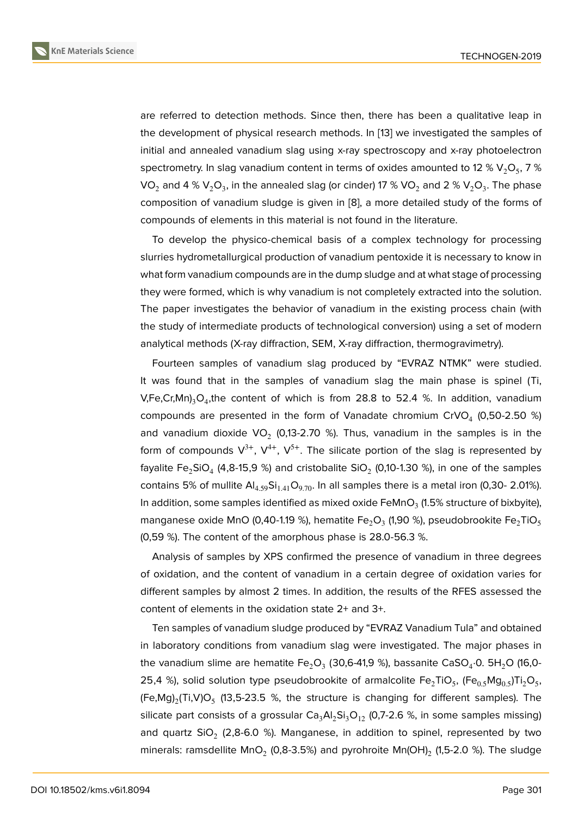are referred to detection methods. Since then, there has been a qualitative leap in the development of physical research methods. In [13] we investigated the samples of initial and annealed vanadium slag using x-ray spectroscopy and x-ray photoelectron spectrometry. In slag vanadium content in terms of oxides amounted to 12 % V<sub>2</sub>O<sub>5</sub>, 7 % VO $_2$  and 4 % V $_2$ O $_3$ , in the annealed slag (or cinder) [17](#page-4-5) % VO $_2$  and 2 % V $_2$ O $_3$ . The phase composition of vanadium sludge is given in [8], a more detailed study of the forms of compounds of elements in this material is not found in the literature.

To develop the physico-chemical basis of a complex technology for processing slurries hydrometallurgical production of van[ad](#page-4-0)ium pentoxide it is necessary to know in what form vanadium compounds are in the dump sludge and at what stage of processing they were formed, which is why vanadium is not completely extracted into the solution. The paper investigates the behavior of vanadium in the existing process chain (with the study of intermediate products of technological conversion) using a set of modern analytical methods (X-ray diffraction, SEM, X-ray diffraction, thermogravimetry).

Fourteen samples of vanadium slag produced by "EVRAZ NTMK" were studied. It was found that in the samples of vanadium slag the main phase is spinel (Ti, V,Fe,Cr,Mn)<sub>3</sub>O<sub>4</sub>,the content of which is from 28.8 to 52.4 %. In addition, vanadium compounds are presented in the form of Vanadate chromium CrVO<sub>4</sub> (0,50-2.50 %) and vanadium dioxide VO<sub>2</sub> (0,13-2.70 %). Thus, vanadium in the samples is in the form of compounds  $V^{3+}$ ,  $V^{4+}$ ,  $V^{5+}$ . The silicate portion of the slag is represented by fayalite Fe $_2$ SiO $_4$  (4,8-15,9 %) and cristobalite SiO $_2$  (0,10-1.30 %), in one of the samples contains 5% of mullite  $Al_{4.59}Si_{1.41}O_{9.70}$ . In all samples there is a metal iron (0,30- 2.01%). In addition, some samples identified as mixed oxide FeMnO $_3$  (1.5% structure of bixbyite), manganese oxide MnO (0,40-1.19 %), hematite Fe $_2$ O $_3$  (1,90 %), pseudobrookite Fe $_2$ TiO $_5$ (0,59 %). The content of the amorphous phase is 28.0-56.3 %.

Analysis of samples by XPS confirmed the presence of vanadium in three degrees of oxidation, and the content of vanadium in a certain degree of oxidation varies for different samples by almost 2 times. In addition, the results of the RFES assessed the content of elements in the oxidation state 2+ and 3+.

Ten samples of vanadium sludge produced by "EVRAZ Vanadium Tula" and obtained in laboratory conditions from vanadium slag were investigated. The major phases in the vanadium slime are hematite Fe $_2$ O $_3$  (30,6-41,9 %), bassanite CaSO $_4$ ·0. 5H $_2$ O (16,0-25,4 %), solid solution type pseudobrookite of armalcolite Fe $_2$ TiO<sub>5</sub>, (Fe $_{0.5}$ Mg $_{0.5}$ )Ti $_2$ O<sub>5</sub>, (Fe,Mg)<sub>2</sub>(Ti,V)O<sub>5</sub> (13,5-23.5 %, the structure is changing for different samples). The silicate part consists of a grossular  $Ca<sub>3</sub>Al<sub>2</sub>Si<sub>3</sub>O<sub>12</sub>$  (0,7-2.6 %, in some samples missing) and quartz SiO<sub>2</sub> (2,8-6.0 %). Manganese, in addition to spinel, represented by two minerals: ramsdellite MnO $_2$  (0,8-3.5%) and pyrohroite Mn(OH) $_2$  (1,5-2.0 %). The sludge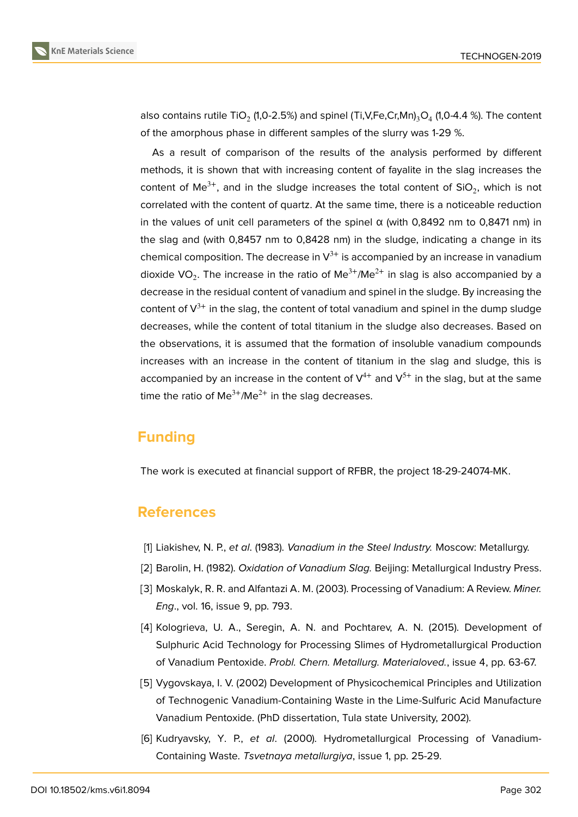

also contains rutile TiO $_2$  (1,0-2.5%) and spinel (Ti,V,Fe,Cr,Mn) $_3$ O $_4$  (1,0-4.4 %). The content of the amorphous phase in different samples of the slurry was 1-29 %.

As a result of comparison of the results of the analysis performed by different methods, it is shown that with increasing content of fayalite in the slag increases the content of Me<sup>3+</sup>, and in the sludge increases the total content of SiO<sub>2</sub>, which is not correlated with the content of quartz. At the same time, there is a noticeable reduction in the values of unit cell parameters of the spinel  $α$  (with 0,8492 nm to 0,8471 nm) in the slag and (with 0,8457 nm to 0,8428 nm) in the sludge, indicating a change in its chemical composition. The decrease in  $V^{3+}$  is accompanied by an increase in vanadium dioxide VO<sub>2</sub>. The increase in the ratio of Me $^{3+}$ /Me $^{2+}$  in slag is also accompanied by a decrease in the residual content of vanadium and spinel in the sludge. By increasing the content of  $V^{3+}$  in the slag, the content of total vanadium and spinel in the dump sludge decreases, while the content of total titanium in the sludge also decreases. Based on the observations, it is assumed that the formation of insoluble vanadium compounds increases with an increase in the content of titanium in the slag and sludge, this is accompanied by an increase in the content of  $V^{4+}$  and  $V^{5+}$  in the slag, but at the same time the ratio of  $Me^{3+}/Me^{2+}$  in the slag decreases.

## **Funding**

The work is executed at financial support of RFBR, the project 18-29-24074-MK.

### **References**

- <span id="page-3-0"></span>[1] Liakishev, N. P., *et al*. (1983). *Vanadium in the Steel Industry.* Moscow: Metallurgy.
- [2] Barolin, H. (1982). *Oxidation of Vanadium Slag.* Beijing: Metallurgical Industry Press.
- <span id="page-3-1"></span>[3] Moskalyk, R. R. and Alfantazi A. M. (2003). Processing of Vanadium: A Review. *Miner. Eng*., vol. 16, issue 9, pp. 793.
- <span id="page-3-2"></span>[4] Kologrieva, U. A., Seregin, A. N. and Pochtarev, A. N. (2015). Development of Sulphuric Acid Technology for Processing Slimes of Hydrometallurgical Production of Vanadium Pentoxide. *Probl. Chern. Metallurg. Materialoved.*, issue 4, pp. 63-67.
- [5] Vygovskaya, I. V. (2002) Development of Physicochemical Principles and Utilization of Technogenic Vanadium-Containing Waste in the Lime-Sulfuric Acid Manufacture Vanadium Pentoxide. (PhD dissertation, Tula state University, 2002).
- <span id="page-3-3"></span>[6] Kudryavsky, Y. P., *et al*. (2000). Hydrometallurgical Processing of Vanadium-Containing Waste. *Tsvetnaya metallurgiya*, issue 1, pp. 25-29.